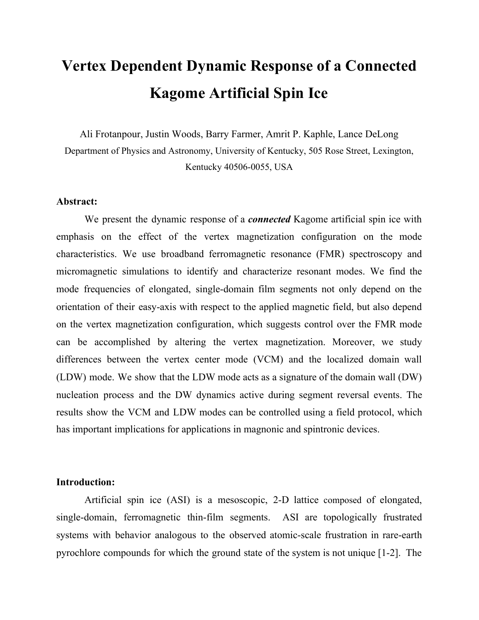# **Vertex Dependent Dynamic Response of a Connected Kagome Artificial Spin Ice**

Ali Frotanpour, Justin Woods, Barry Farmer, Amrit P. Kaphle, Lance DeLong Department of Physics and Astronomy, University of Kentucky, 505 Rose Street, Lexington, Kentucky 40506-0055, USA

# **Abstract:**

We present the dynamic response of a *connected* Kagome artificial spin ice with emphasis on the effect of the vertex magnetization configuration on the mode characteristics. We use broadband ferromagnetic resonance (FMR) spectroscopy and micromagnetic simulations to identify and characterize resonant modes. We find the mode frequencies of elongated, single-domain film segments not only depend on the orientation of their easy-axis with respect to the applied magnetic field, but also depend on the vertex magnetization configuration, which suggests control over the FMR mode can be accomplished by altering the vertex magnetization. Moreover, we study differences between the vertex center mode (VCM) and the localized domain wall (LDW) mode. We show that the LDW mode acts as a signature of the domain wall (DW) nucleation process and the DW dynamics active during segment reversal events. The results show the VCM and LDW modes can be controlled using a field protocol, which has important implications for applications in magnonic and spintronic devices.

## **Introduction:**

Artificial spin ice (ASI) is a mesoscopic, 2-D lattice composed of elongated, single-domain, ferromagnetic thin-film segments. ASI are topologically frustrated systems with behavior analogous to the observed atomic-scale frustration in rare-earth pyrochlore compounds for which the ground state of the system is not unique [1-2]. The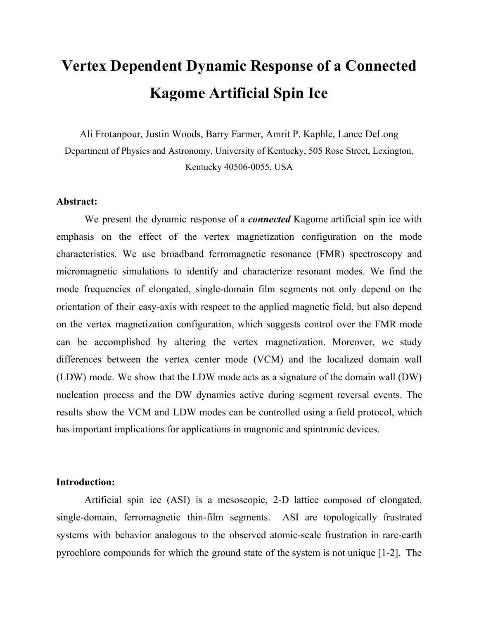submicron length scale of ASI lattices makes them suitable candidates for magnonic crystals and spintronic devices [3-5]. Moreover, ASI are actively investigated as a new class of nano-scale systems for which classical models can be applied to probe the physics of magnetic frustration. ASI lattice types recently under study include the honeycomb lattice [6-11], square lattice [12-15] and quasicrystals [16-18], which exhibit interesting long-range order, field-driven reversal, spontaneous switching, and dynamic response.

Elongated thin-film segments in ASI are dominated by long-range dipolar interactions (including demagnetizing fields). If the segments are connected at their end points, a relatively large vertex area is created; dipolar and shorter-range exchange interactions compete to determine the magnetization texture within and near the vertex, which strongly influences segment switching and DW dynamics [8,11]. For example, Bang et. al. [11] recently showed that connected three-fold segment clusters support strong FMR response in the vertex center when the applied field is aligned along the easy axis of a subset of the segments.

In this paper, we use FMR spectroscopy to experimentally study the influence of vertices on the FMR modes of a connected Kagome ASI. We analyze our broad-band (BB) FMR data using Object Oriented Micromagnetic Framework (OOMMF) simulations. Our findings improve our understanding of the relation between FMR modes in connected ASI and the dynamic response of DW localized within vertices, especially during reversal events.

Generally, the highest-frequency mode in an array of *disconnected*, single-domain thin-film segments with similar dimensions is resident on those segments whose magnetization makes the smallest angle with the applied field [8-14].

First, we demonstrate that vertices in *connected* Kagome ASI can be initialized so that the highest-frequency mode is resident in segments whose angle between their Ising segment magnetization and the applied field *is not* the smallest in the array.

Second, we found it useful to investigate DW modes residing within the vertices, and characterize their FMR modes before and after reversal events. We show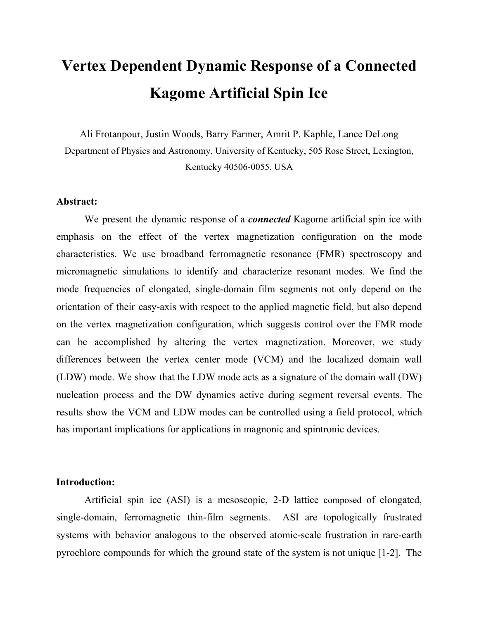deformations of vertex magnetizations induced by applied field strongly affect the slope, df/dH, of the frequency-field resonance curve, and DW located in vertices play a decisive role in the reversal of adjacent segments.

The results suggest FMR modes active in certain segments can be controlled via a specific field protocol that is suitable for application in magnonics. Characterization of the vertex DW modes is therefore essential for engineering spintronics applications that mainly rely on local excitation of DW.

## **Methods:**

Experimental FMR spectroscopy was performed on Kagome ASI with connected vertices (see Fig. 1). Permalloy thin films were patterned on  $SiO<sub>2</sub>$  substrates using electron beam lithography followed by electron beam evaporation and lift-off. The width, length and thickness of the permalloy segments were 140 nm, 540 nm and 25 nm, respectively. We distinguish between three subsets of Ising segments designated A, B, and C (see **Fig. 1**) according to the angle of their easy axis with respect to the **x-**axis. Segments A, B and C correspond to  $A = 0^\circ$ ,  $B = -60^\circ$  and  $C = 60^\circ$ , respectively. The diameter of a single patterned Kagome ASI was about 40 micron, and a  $4 \times 80$  array of these ASI was fabricated with a center-to-center distance of 100 microns.

Broadband FMR spectroscopy was used to probe the dynamic response of the magnetization. A microstripline of 12 mm length, 320 micron width and 100 micron substrate thickness was fabricated using standard photolithography techniques. The middle of the microstripline is composed of four strips of 20-micron width and 100-micron spacing. The sample was placed in a flip-chip geometry on the microstripline such that the ASI arrays lined up with the 20-micron strips. A vector network analyzer (VNA) was used to measure the transmission coefficient,  $S_{12}$  in the frequency range, 3-14 GHz. The  $S_{12}$  data measured at 3000 Oe were subtracted from the  $S_{12}$  measured at each applied magnetic field to remove spurious background resonances.

We initialize the lattice by applying an Ising saturation field at zero angle  $( = 0)$ with respect to a reference axis formed by one of the Kagome lattice segments; we then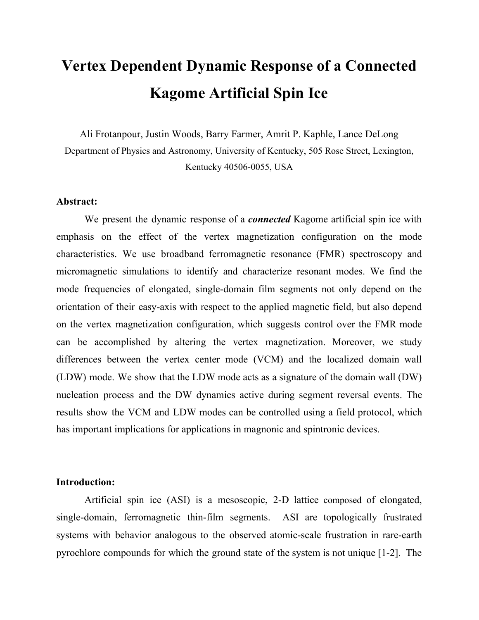perform broadband FMR measurements with the applied field oriented at 60° with respect to the reference axis; consequently, one can investigate the effects of the vertex magnetization texture on the dynamic response of most of the segments in the Kagome ASI.

The following field protocol was used to perform BB FMR measurements: Step 1: A magnetic field was applied along  $= 0$  to attain Ising saturation at H = 1000 Oe (see **Fig. 1**). Step 2: the magnetic field was turned off. Step 3: The magnetic field was swept from zero to 700 Oe in 10-Oe steps at  $= +60^{\circ}$ , and BB FMR measurements were performed at each applied field step. Consequently, the Ising saturation magnetizations of Segments A, B, and C, make angles of  $60^{\circ}$ ,  $-120^{\circ}$ , and  $0^{\circ}$  with respect to the ramping applied field, respectively. Therefore, as we increase the applied field from zero to 700 Oe with  $= +60^{\circ}$ , Segments B are expected to reverse at a specific field.

We used Object Oriented Micromagnetic Framework (OOMMF) to analyze our experimental results, using a 10-nm by 10-nm in-plane pixel area and a 25-nm permalloy thickness. The simulations assumed a saturation magnetization  $O_{\nu} = 800 \text{ kA/m}$ , and exchange stiffness  $C = 1.3 \times 10^{-12}$  J/m [19]. In simulations, ASI are saturated in fields oriented along <sup>o</sup>, and then the magnetic field is swept from zero to 600 Oe with 5  $\Omega$  of steps along <sup>o</sup>. The magnetization textures generated by OOMMF were used as input to simulate the FMR data: A 10-Oe pulse of magnetic field was applied perpendicular to the plane of the film with a duration of 20 ps. The magnetization vectors were recorded every 20 ps (i.e., 1000 times). The damping coefficient in the micromagnetic simulation for FMR was 0.008. The FMR absorption spectrum was found by applying a Fast Fourier Transform (FFT) on each pixel, and averaging over all pixels.

# **Results and Discussion:**

**Figures 2 (a)** and **(b)** show the experimental and simulated FMR results. We observed a sudden change in the FMR spectrum at an applied field  $H = 260$  Oe; this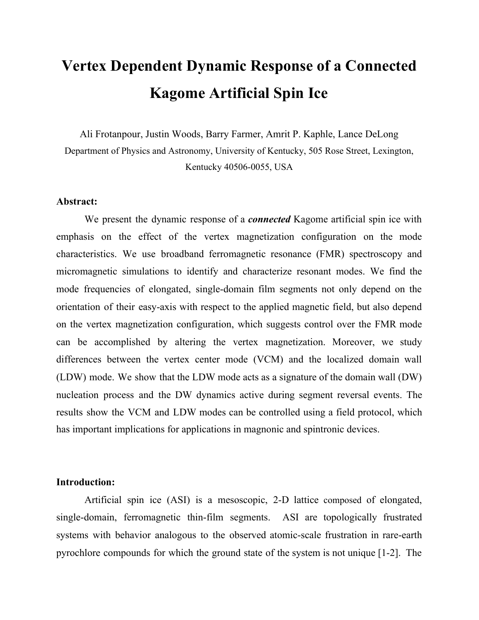suggests reversals have occurred among the Segment B subgroup, since their remnant magnetization makes an angle of 120 degrees with respect to the applied field.

Five modes are observed in the experimental FMR spectra prior to Segment B reversal; and they are labeled  $M_A$ ,  $M_{B1}$ ,  $M_{B2}$ ,  $M_C$  and LDW (Localized Domain Wall). Mode  $M_A$  has almost zero df/dH, whereas Modes  $M_{B1}$  and  $M_C$  are degenerate at zero field, but split at higher fields, according to positive and negative values of df/dH. Moreover, Modes  $M<sub>B2</sub>$  and LDW are observed at relatively low frequencies compared to modes  $M_A$ ,  $M_{B1}$ ,  $M_C$ . Corresponding modes found in simulations (shown in **Figs. 2 (c)** and **(d)**) are in good agreement with these experimental results.

The spatial distribution of FMR absorption (mode profiles) correlates well with particular segment types or vertices, as shown in **Fig. 3** (a) for applied field  $H = 200$  Oe and =  $60^\circ$ . Mode  $M_A$  corresponds to Segment A at H = 200 Oe. Mode  $M_C$  ( $M_{B1}$ ) corresponds to Segment C (B) and Mode  $M_{B2}$  corresponds to a different mode for Segment B having more anti-nodal lines (note the parallel lines in the power map with strong absorption) than Mode  $M_{B1}$ .

#### **A. Vertex control of FMR modes**

The FMR modes extant before Segment B reversal show two remarkable features. First, the frequency of Mode  $M_A$  is greater than Mode  $M_C$ , even though the magnetization of Segment C is in the direction of the applied field, and the magnetization of Segment A makes an angle of  $60^{\circ}$  respect to the applied field. Second, df/dH of Mode  $M_A$  is zero, whereas it is expected to be positive [8-12] since the segment is magnetized nearly parallel to the easy-axis. We now demonstrate that these features of Mode  $M_A$  are correlated with the vertex magnetization configuration.

We define the vertex region as a triangle, as shown in **Fig. 4**: Each vertex is defined by two DW that separate it from two neighboring segments, and a central region with almost uniform magnetization that has the same direction as the axis of the third segment. The vertex can have any of six different magnetization states, depending on the angle,  $\psi$ , of the magnetization of the central region with respect to the applied field. The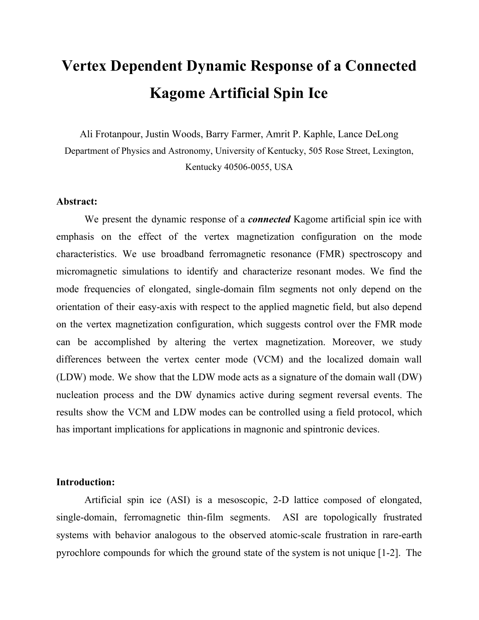example shown in Fig. 4 is a "-60 $^{\circ}$  vertex state" ( $\rlap/v''$  ? -60 $^{\circ}$ ), which means the magnetization of the vertex central region makes an angle of  $-60^\circ$  with respect to the applied field.

**Figure 5** shows the simulated magnetization texture of three nearest-neighbor segments for different applied fields. As can be seen, the magnetization of all vertex centers are aligned with the magnetization of Segment A, which means that all vertices are in the state,  $-60^\circ$ . The bulk (inside the segment body) FMR mode is influenced by the magnitude and distribution of the demagnetization field inside the segment body. In particular, FMR results suggest the "-60° vertex state" causes a higher demagnetization field in Segment C compared to Segment A; consequently, the frequency of mode  $M_A$  is highest compared to mode  $M_B$  and  $M_C$ . In other words, Segment C has a shorter effective length (region of uniform magnetization) compared to Segment A, which is consistent with the fact that a higher demagnetization field obtains for shorter segments [21].

In summary, even though the magnetization of Segment C is in the direction of the applied field, it has a higher demagnetization field, which leads to the lower mode frequency compared to Segment A. At the same time, we must understand why the frequency of mode  $M_A$  remains constant as the field increases (zero df/dH), which inevitably causes the bulk magnetization of Segment A to tilt slightly towards the hard axis, which involves a compensating increase in the demagnetization field of Segment A.

Remarkably, the DW between Segments A and B begin to move into the interior of Segment B as the applied field increases, but *before there is a significant deformation* of the vertex *magnetizations*. After Segment B reversal, the "-60° vertex state" switches to a " $0^{\circ}$  vertex state" (note the highest frequency mode after reversal corresponds to Segment C). This is an example of the importance of vertex magnetization in reversal. Note that reversal of the Type B Segments occurs at 260 Oe in the experiment and at 440 Oe in the simulation, consistent with results of a variety of micromagnetic simulations that predict a higher reversal field than is observed [6-8].

After reversal, we detected four distinct modes with further increases in applied field, labeled as  $N_{AB}$ ,  $N_C$ , LDW and VCM. All of these modes had a positive df/dH. The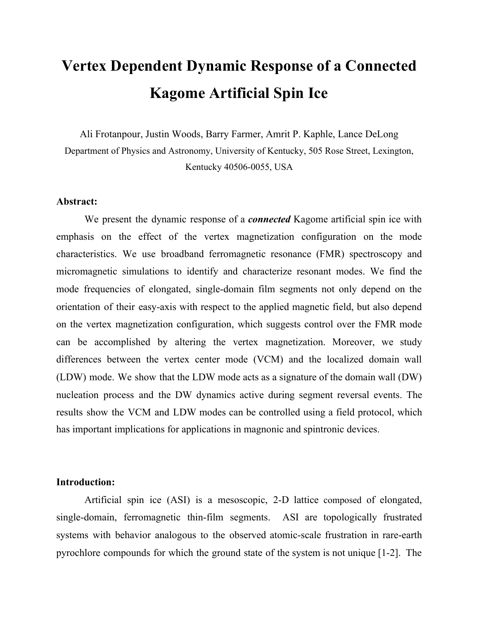simulated mode profiles at 550 Oe are shown in **Fig. 3 (b)** and confirm that the highest frequency Mode  $N_c$  corresponds to Segment C and the Mode  $N_{AB}$  resides in Segments A and B. Therefore, the condition for a segment to have the highest frequency mode is  $\psi$  =  $0^\circ$  in this regime of applied field.

### **B. Vertex modes**

Vertex modes are observed in a lower-frequency regime compared to segment bulk modes, as shown in **Fig. 3 (b)**. As discussed above, each vertex area is bordered by two DW whose motion and dynamic response are tightly correlated with the segment switching process in connected ASI. We now characterize the modes associated with DW and show how they depend on the vertex magnetization orientation (i.e.,  $\psi$ ).

LDW field dispersion is shown in **Fig. 2**; and the absorption profiles before Segment B reversal for  $H = 0$  Oe and  $H = 200$  Oe and  $H = 350$  Oe are shown in **Figs.** 3 **(a), (c)** and **(d),** respectively**.** Note, LDW modes generated in simulations are in the same frequency range and exhibit similar df/dH as in experiment. However, simulated LDW modes consist of multiple bands spanning a range of resonant frequencies between 2 GHz and 4 GHz. The frequency of LDW modes decreases slightly with increasing applied field. Moreover, the antinodal lines of LDW mode profiles change as the field increases. Based on the magnetization textures for the different applied fields (see **Fig. 5**), the DW which span Segments A and B  $(DW_{AB})$  move toward the bulk of Segments B as the field increases (as described above). A comparison of the antinodal lines of the LDW mode profiles (**Figs. 3 (a), (c)** and **(d)**) with  $DW_{AB}$  locations at different fields shows that the antinodal lines are in the same locations as the DW. After Segment B reversal, the frequencies of the LDW modes and  $df/dH > 0$  change suddenly. The LDW mode profile after reversal is shown in **Fig. 3 (b)** for 550 Oe. These results show that the frequency and df/dH of LDW modes can be controlled by the vertex orientation with respect to the applied field,  $\rlap/v$ .

We also studied the vertex center mode (VCM), whose existence depends on the direction of the easy axis of one of the segments matching the applied field direction [11].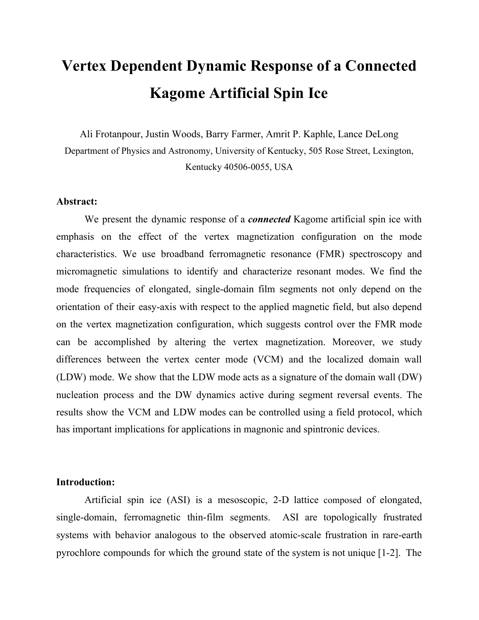However, our simulations show this is not a *sufficient* condition for the existence of a VCM. The VCM is labeled in **Figs. 2** (b) and (d), and the mode profiles for  $H = 0$  Oe, and 550 Oe are shown in **Figs. 3 (c)** and **(d).** We did not detect a VCM before reversal in FMR experiments; in fact, our simulation shows this mode exists only below 100 Oe with weak amplitude before reversal, and disappears afterward. After reversal, this mode is found for fields greater than 500 Oe, both in the simulation and experiment. A careful comparison of the magnetization configurations of the vertex center at different fields reveals the VCM exists whenever the ASI adopts the "0<sup>°</sup> vertex state".

# **Conclusion:**

We have demonstrated control of FMR modes by using a field protocol to set particular vertex magnetizations. We showed that the angle between the segment's easy-axis and applied field does not necessarily determine the highest frequency FMR mode in ASI. Furthermore, we showed that df/dH depends not only on the angle between the magnetization of the segment and its easy axis, but also depends on the vertex magnetization. Consequently, the vertex magnetization state offers an important variable to control FMR modes in ASI by applying different field protocols. For example, by local manipulation of the segment and vertex configurations, we can alter the FMR mode frequencies of the segments. Moreover, we characterized the VCM and LDW modes to better understand the internal magnetization configuration of the vertex, and how it signals the DW mode behavior. These results are suitable for engineering applications of spintronic and magnonic devices. Moreover, we have verified a modified condition for the existence of the VCM mode.

#### **ACKNOWLEDGMENTS**

Research at the University of Kentucky was supported by the U.S. NSF Grant DMR-1506979, the UK Center for Advanced Materials, the UK Center for Computational Sciences, and the UK Center for Nanoscale Science and Engineering. Research at the Argonne National Laboratory, a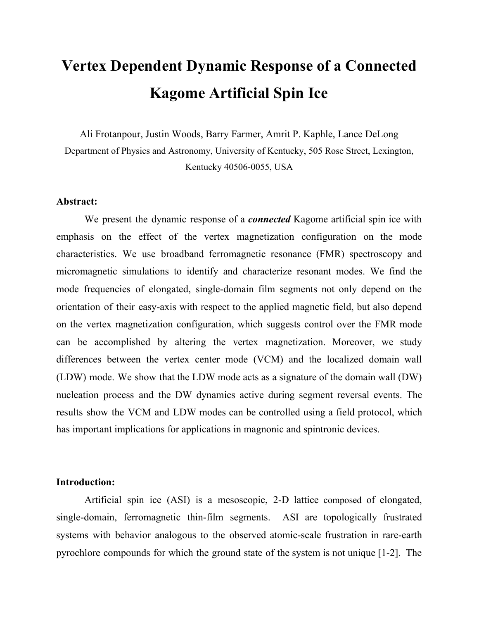U.S. Department of Energy Office of Science User Facility, was supported under Contract No. DE-AC02-06CH11357.

## **References:**

[1] Nisoli, Cristiano, Roderich Moessner, and Peter Schiffer. "Colloquium: Artificial spin ice: Designing and imaging magnetic frustration." *Tgxkgy u"qHO qf gtp"Rj {ukeu* 85.4 (2013): 1473.

[2] Skjærvø, Sandra H., et al. "Advances in artificial spin ice." *Pcwtg'Tgxkgy u'Rj (ukeu* (2019): 1-16.

[3] Kruglyak, V. V., S. O. Demokritov, and D. Grundler. "Magnonics." *Lawt pcrl'aliRj {uleu'F < Crrigf' Rj {uleu* 43.26 (2010): 264001.

[4] Arava, Hanu, et al. "Engineering relaxation pathways in building blocks of artificial spin ice for computation." *Rj* {  $\mu$ kect<sup>T</sup> gxkgy 'Crrtkgf 11.5 (2019): 054086.

[5] Lenk, Benjamin, et al. "The building blocks of magnonics."  $Rj$  *[ukeuTgrqt w 507.4-5 (2011): 107-136.* 

[6] Daunheimer, Stephen A., et al. "Reducing disorder in artificial kagome ice." *Rj (ukecn't gxkgy "rgwgtu* 107.16 (2011): 167201.

[7] Burn, D. M., M. Chadha, and W. R. Branford. "Angular-dependent magnetization reversal processes in artificial spin ice." *Rj* {*ukecn'Tgxkgy 'D* 92.21 (2015): 214425.

[8] Bhat, Vinayak S., et al. "Angular-dependent magnetization dynamics of kagome artificial spin ice incorporating topological defects." *Ri {ukecn'Tgxkgy 'D* 96.1 (2017): 014426.

[9] Bang, Wonbae, et al. "Angular-dependent spin dynamics of a triad of permalloy macrospins." *R<sub>j</sub>* [ukecn]*Tgxkgy* 'D 99.1 (2019): 014415.

[10] Zhou, Xue, et al. "Large area artificial spin ice and anti spin ice Ni80Fe20 structures: static and dynamic behavior." *Cf xcpegf 'Hwpevkqpcn'O cvgt kcnu* 26.9 (2016): 1437-1444.

[11] Bang, Wonbae, et al. "Influence of the Vertex Region on Spin Dynamics in Artificial Kagome Spin Ice." *Rj* {  $\mu$ kect<sup>T</sup> gxkgy 'Crrtkgf 14.1 (2020): 014079.

[12] Dion, T., et al. "Tunable magnetization dynamics in artificial spin ice via shape anisotropy modification." *Rj* {  $\frac{\text{d}}{\text{d}}$  /  $\frac{\text{d}}{\text{d}}$  /  $\frac{\text{d}}{\text{d}}$  /  $\frac{\text{d}}{\text{d}}$  /  $\frac{\text{d}}{\text{d}}$  /  $\frac{\text{d}}{\text{d}}$  /  $\frac{\text{d}}{\text{d}}$  /  $\frac{\text{d}}{\text{d}}$  /  $\frac{\text{d}}{\text{d}}$  /  $\frac{\text{d}}{\text{d}}$  /  $\frac{\text{d}}{\text{d}}$  /  $\frac{\text{d}}{\text{d}}$  /  $\frac{\text{d}}{\text{$ 

[13] Iacocca, Ezio, et al. "Reconfigurable wave band structure of an artificial square ice." *Rj [ukecn'Tgxkgy 'D93.13*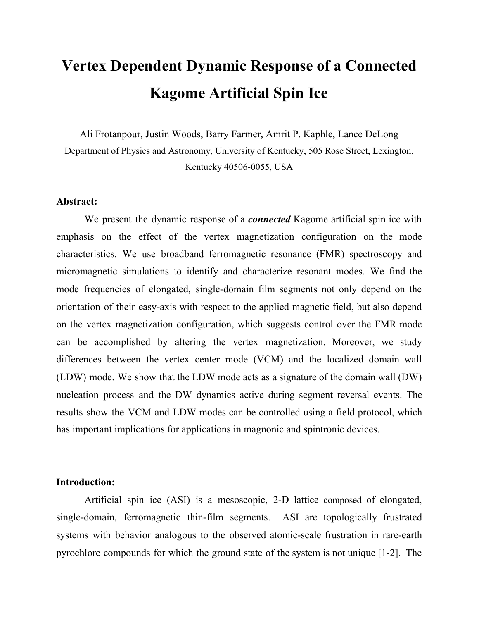(2016): 134420.

[14] Jungfleisch, M. B., et al. "Dynamic response of an artificial square spin ice." *Rj [ulectTgxkgy 'D* 93.10 (2016): 100401.

[15] Chen, X. M., et al. "Spontaneous magnetic superdomain wall fluctuations in an artificial antiferromagnet." *Rj (ulectITgxkgy*" */HWWHUV* 123.19 (2019): 197202.

[16] Bhat, Vinayak Shantaram, et al. "Ferromagnetic resonance study of eightfold artificial ferromagnetic quasicrystals." *Lqwt pcrlqh'Cr r r kgf ''Rj { ukeu* 115.17 (2014): 17C502.

[17] Farmer, Barry, et al. "Magnetic response of aperiodic wire networks based on Fibonacci distortions of square antidot lattices." *Lawt pc n'alt/Crrikgf 'Rj {ukeu* 117.17 (2015): 17B714.

[18] Farmer, Barry, et al. "Direct imaging of coexisting ordered and frustrated sublattices in artificial ferromagnetic quasicrystals." Physical Review B 93.13 (2016): 134428.

[19] Abo, Gavin S., et al. "Micromagnetic computer simulated scaling effect of s-shaped permalloy nano-element on operating fields for and or or logic." *KGG'it cpucevkppu''gp''o cipgykeu* 48.5 (2011): 1851-1855.

[20] Shen, Yichen, et al. "Dynamics of artificial spin ice: a continuous honeycomb network." *Pgy "Lqwtpcn"qh" Ri* {  $uku$  14.3 (2012): 035022.

[21] Chen, D-X., E. Pardo, and A. Sanchez. "Demagnetizing factors for rectangular prisms." *KGG'Vt cpucevkqpu''qp*" *p* ci pg keu 41.6 (2005): 2077-2088.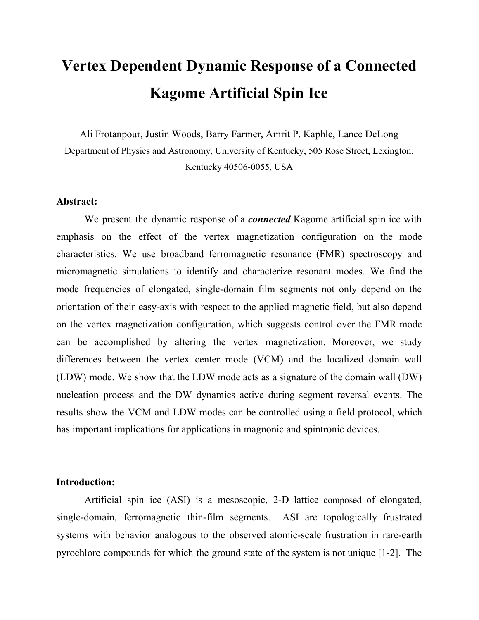

**Figure 1.** SEM image of a sample ASI. The angle is defined with respect to the **x**-axis. Segments A, B, and C are labeled based on their values of  $A = 0^\circ$ ,  $B = 0^\circ$  $-60^{\circ}$  and  $_{\rm C} = 60^{\circ}$ , respectively. Note the one-micron scale bar.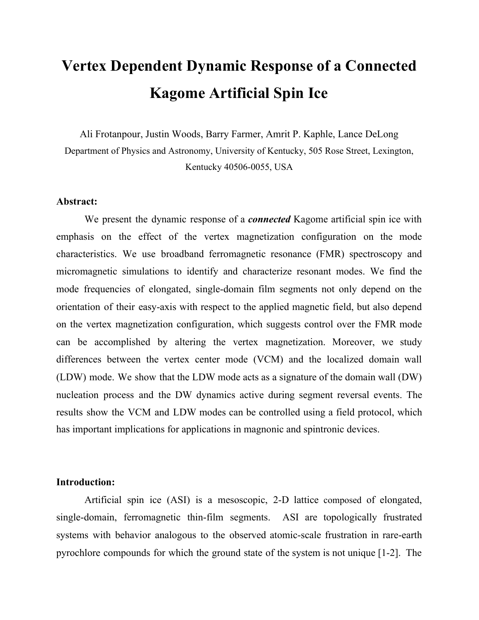

**Figure 2.** (a) and (b) show frequency-field graphs for experimental  $S_{12}$  data for the 8-14 GHz and 3-8 GHz frequency bands, respectively. Panels **(c)** and **(d)** show simulated FMR absorption for frequencies 8-14 GHz and 3-8 GHz. The color scale corresponds to 1 for maximum signal absorption, and zero for the minimum absorption. Note the sudden change in the FMR spectrum at an applied field  $H = 260$  Oe, which implicates reversals among the Segment B subgroup.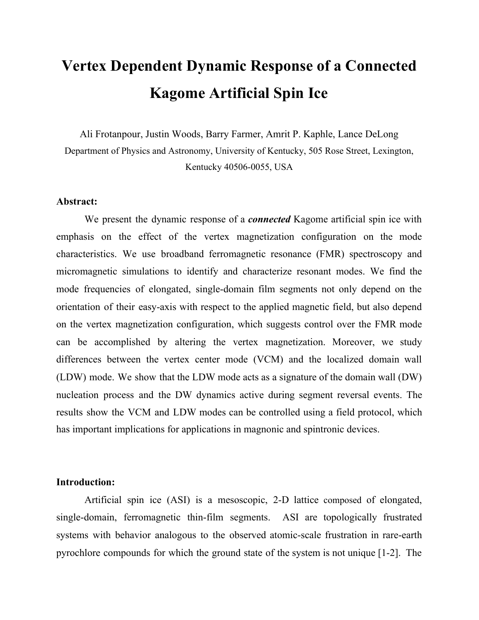

**Figure 3.** Mode profiles at different values of applied DC magnetic field H **(a)** 200 Oe, **(b)** 550 Oe, **(c)** 0 Oe, **(d)** 350 Oe. The color scale corresponds to 1 for maximum absorption and zero for minimum absorption. The applied field **H** is oriented at  $c = 60^\circ$ with respect to the horizontal **x-**direction. Segment B reversal occurs at 440 Oe in the simulations. A bulk FMR mode can be identified by antinodal lines in the body of the segments. LDW modes and VCM antinodal lines are visible in the vertex regions. LDW and VCM modes are rotated by  $60^{\circ}$  after reversal (visible in (b) for 5.9 GHz and 4.45 GHz), which indicates the mode characteristics depend on the vertex magnetization state.